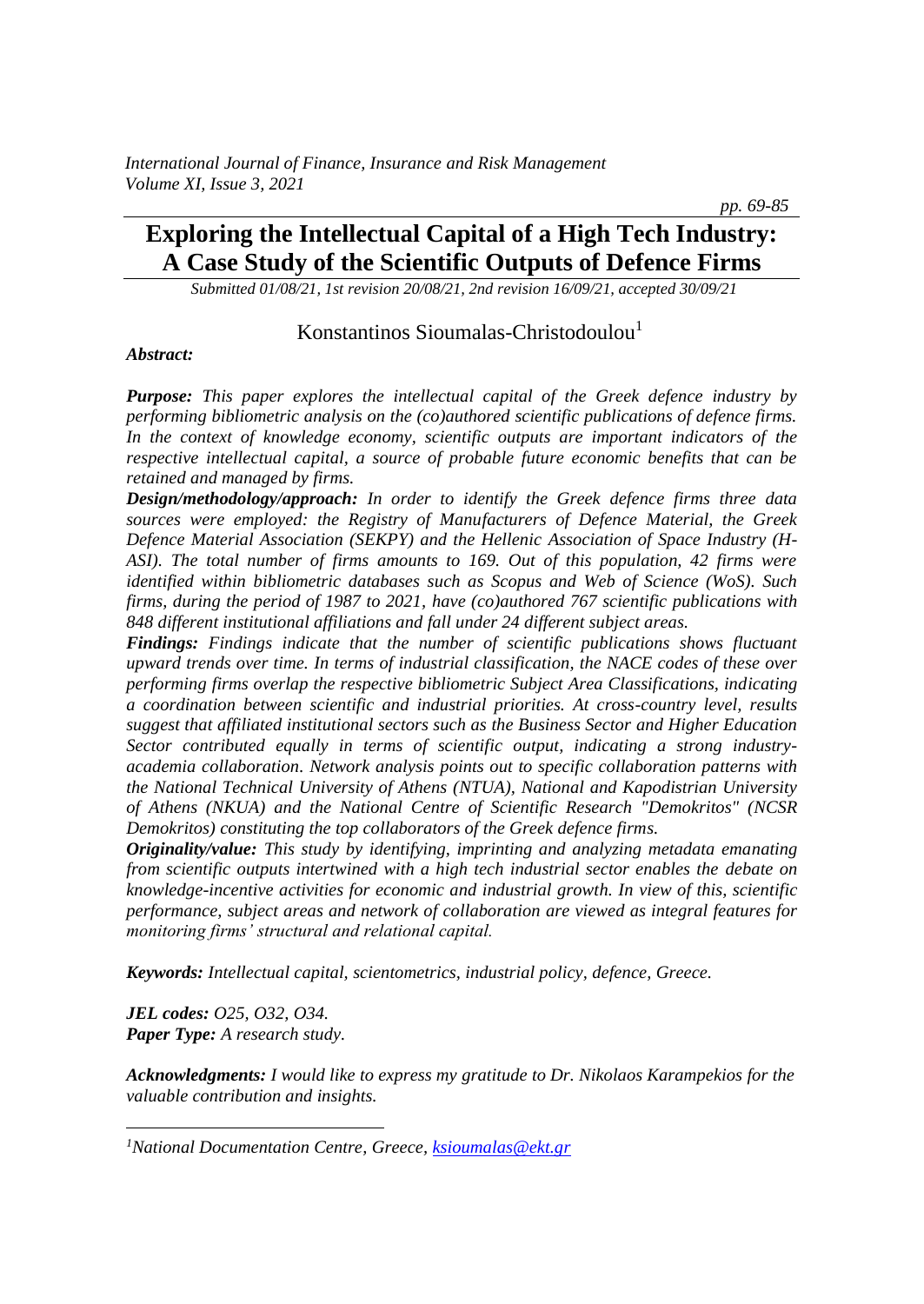# **Exploring the Intellectual Capital of a High Tech Industry: A Case Study of the Scientific Outputs of Defence Firms**

 *pp. 69-85*

*Submitted 01/08/21, 1st revision 20/08/21, 2nd revision 16/09/21, accepted 30/09/21*

#### Konstantinos Sioumalas-Christodoulou<sup>1</sup>

#### *Abstract:*

*Purpose: This paper explores the intellectual capital of the Greek defence industry by performing bibliometric analysis on the (co)authored scientific publications of defence firms. In the context of knowledge economy, scientific outputs are important indicators of the respective intellectual capital, a source of probable future economic benefits that can be retained and managed by firms.*

*Design/methodology/approach: In order to identify the Greek defence firms three data sources were employed: the Registry of Manufacturers of Defence Material, the Greek Defence Material Association (SEKPY) and the Hellenic Association of Space Industry (H-ASI). The total number of firms amounts to 169. Out of this population, 42 firms were identified within bibliometric databases such as Scopus and Web of Science (WoS). Such firms, during the period of 1987 to 2021, have (co)authored 767 scientific publications with 848 different institutional affiliations and fall under 24 different subject areas.*

*Findings: Findings indicate that the number of scientific publications shows fluctuant upward trends over time. In terms of industrial classification, the NACE codes of these over performing firms overlap the respective bibliometric Subject Area Classifications, indicating a coordination between scientific and industrial priorities. At cross-country level, results suggest that affiliated institutional sectors such as the Business Sector and Higher Education Sector contributed equally in terms of scientific output, indicating a strong industryacademia collaboration. Network analysis points out to specific collaboration patterns with the National Technical University of Athens (NTUA), National and Kapodistrian University of Athens (NKUA) and the National Centre of Scientific Research "Demokritos" (NCSR Demokritos) constituting the top collaborators of the Greek defence firms.*

*Originality/value: This study by identifying, imprinting and analyzing metadata emanating from scientific outputs intertwined with a high tech industrial sector enables the debate on knowledge-incentive activities for economic and industrial growth. In view of this, scientific performance, subject areas and network of collaboration are viewed as integral features for monitoring firms' structural and relational capital.*

*Keywords: Intellectual capital, scientometrics, industrial policy, defence, Greece.*

*JEL codes: O25, O32, O34. Paper Type: A research study.*

*Acknowledgments: I would like to express my gratitude to Dr. Nikolaos Karampekios for the valuable contribution and insights.*

*<sup>1</sup>National Documentation Centre, Greece, [ksioumalas@ekt.gr](mailto:ksioumalas@ekt.gr)*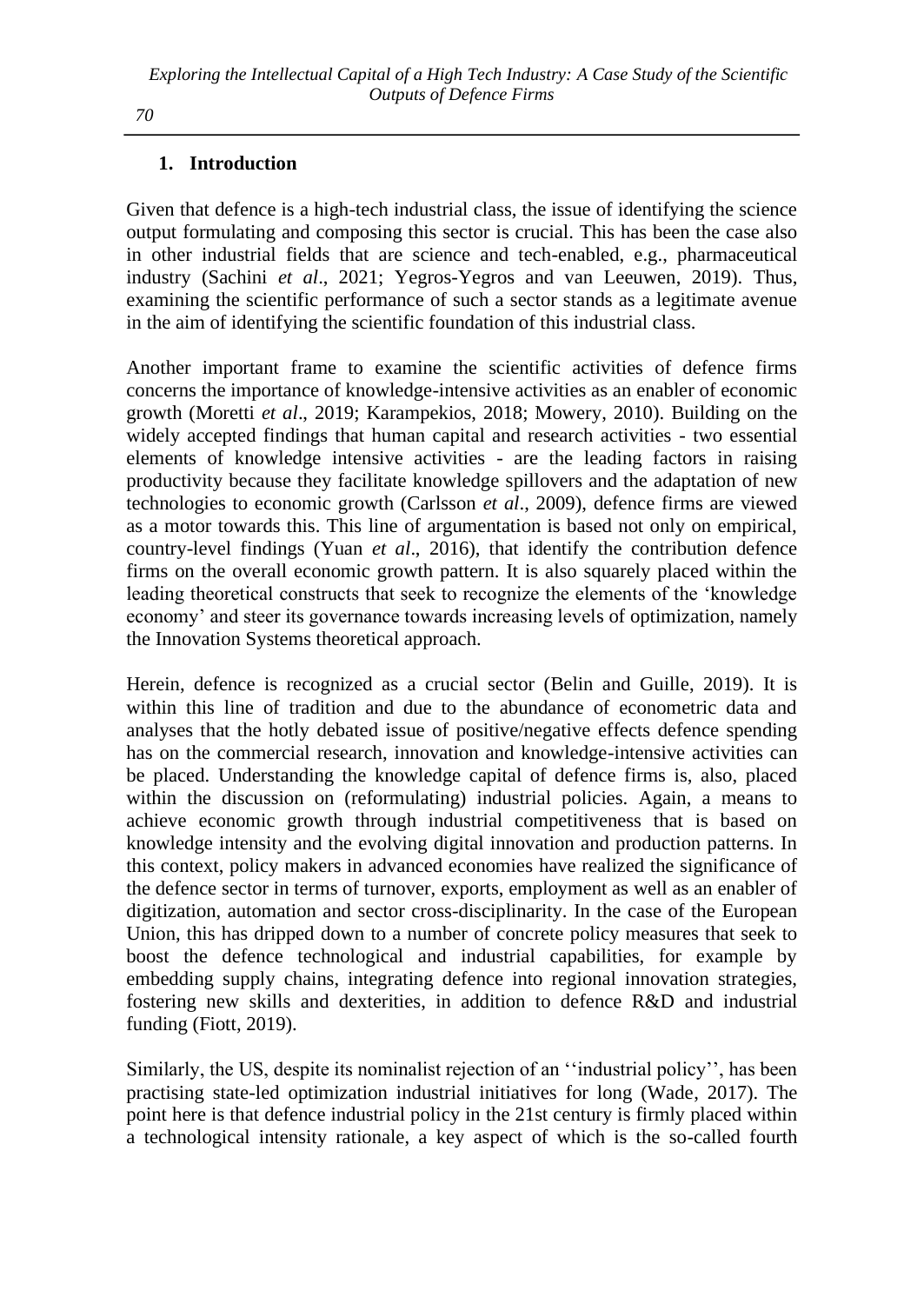# **1. Introduction**

Given that defence is a high-tech industrial class, the issue of identifying the science output formulating and composing this sector is crucial. This has been the case also in other industrial fields that are science and tech-enabled, e.g., pharmaceutical industry (Sachini *et al*., 2021; Yegros-Yegros and van Leeuwen, 2019). Thus, examining the scientific performance of such a sector stands as a legitimate avenue in the aim of identifying the scientific foundation of this industrial class.

Another important frame to examine the scientific activities of defence firms concerns the importance of knowledge-intensive activities as an enabler of economic growth (Moretti *et al*., 2019; Karampekios, 2018; Mowery, 2010). Building on the widely accepted findings that human capital and research activities - two essential elements of knowledge intensive activities - are the leading factors in raising productivity because they facilitate knowledge spillovers and the adaptation of new technologies to economic growth (Carlsson *et al*., 2009), defence firms are viewed as a motor towards this. This line of argumentation is based not only on empirical, country-level findings (Yuan *et al*., 2016), that identify the contribution defence firms on the overall economic growth pattern. It is also squarely placed within the leading theoretical constructs that seek to recognize the elements of the 'knowledge economy' and steer its governance towards increasing levels of optimization, namely the Innovation Systems theoretical approach.

Herein, defence is recognized as a crucial sector (Belin and Guille, 2019). It is within this line of tradition and due to the abundance of econometric data and analyses that the hotly debated issue of positive/negative effects defence spending has on the commercial research, innovation and knowledge-intensive activities can be placed. Understanding the knowledge capital of defence firms is, also, placed within the discussion on (reformulating) industrial policies. Again, a means to achieve economic growth through industrial competitiveness that is based on knowledge intensity and the evolving digital innovation and production patterns. In this context, policy makers in advanced economies have realized the significance of the defence sector in terms of turnover, exports, employment as well as an enabler of digitization, automation and sector cross-disciplinarity. In the case of the European Union, this has dripped down to a number of concrete policy measures that seek to boost the defence technological and industrial capabilities, for example by embedding supply chains, integrating defence into regional innovation strategies, fostering new skills and dexterities, in addition to defence R&D and industrial funding (Fiott, 2019).

Similarly, the US, despite its nominalist rejection of an ''industrial policy'', has been practising state-led optimization industrial initiatives for long (Wade, 2017). The point here is that defence industrial policy in the 21st century is firmly placed within a technological intensity rationale, a key aspect of which is the so-called fourth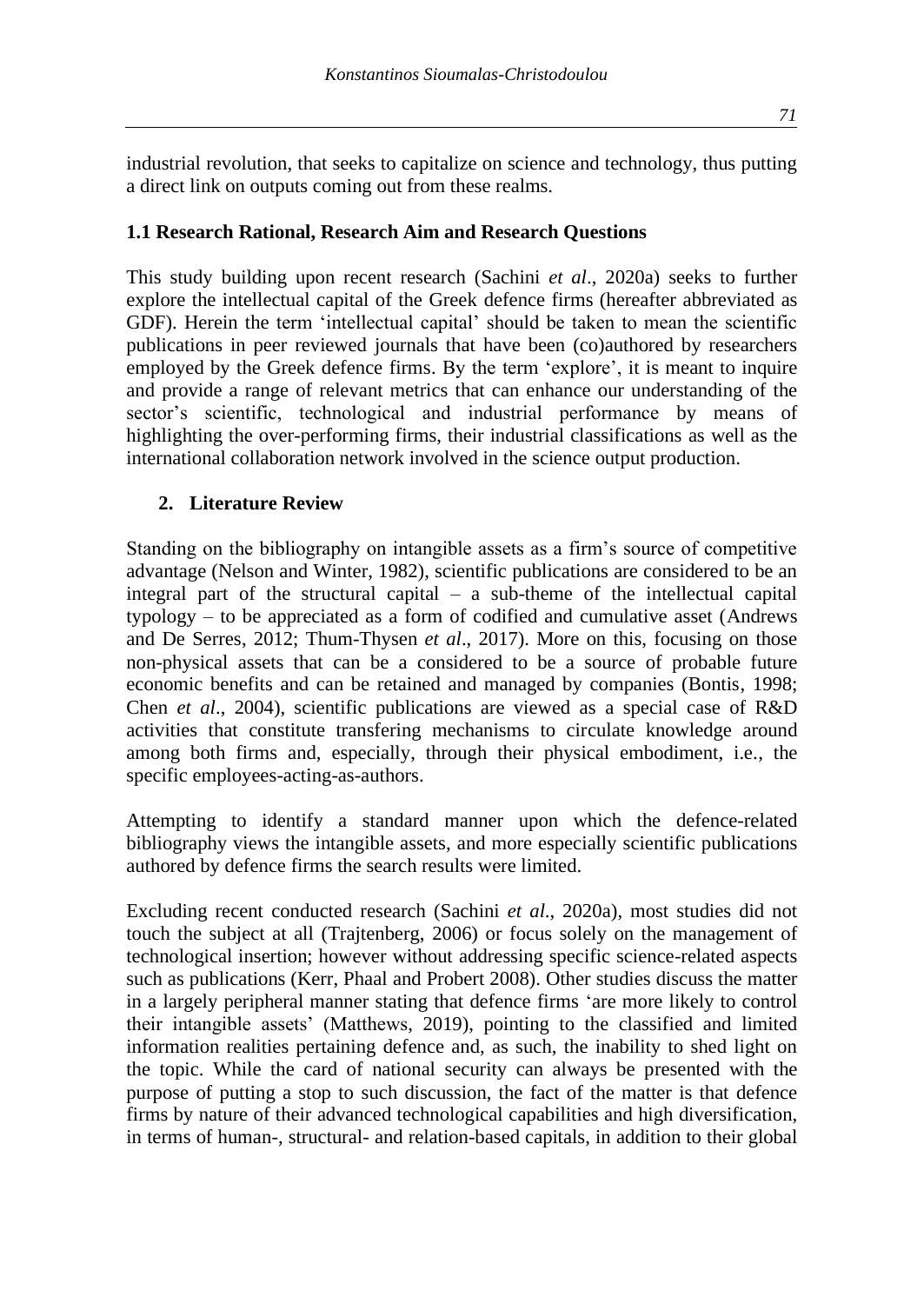industrial revolution, that seeks to capitalize on science and technology, thus putting a direct link on outputs coming out from these realms.

#### **1.1 Research Rational, Research Aim and Research Questions**

This study building upon recent research (Sachini *et al*., 2020a) seeks to further explore the intellectual capital of the Greek defence firms (hereafter abbreviated as GDF). Herein the term 'intellectual capital' should be taken to mean the scientific publications in peer reviewed journals that have been (co)authored by researchers employed by the Greek defence firms. By the term 'explore', it is meant to inquire and provide a range of relevant metrics that can enhance our understanding of the sector's scientific, technological and industrial performance by means of highlighting the over-performing firms, their industrial classifications as well as the international collaboration network involved in the science output production.

#### **2. Literature Review**

Standing on the bibliography on intangible assets as a firm's source of competitive advantage (Nelson and Winter, 1982), scientific publications are considered to be an integral part of the structural capital – a sub-theme of the intellectual capital typology – to be appreciated as a form of codified and cumulative asset (Andrews and De Serres, 2012; Thum-Thysen *et al*., 2017). More on this, focusing on those non-physical assets that can be a considered to be a source of probable future economic benefits and can be retained and managed by companies (Bontis, 1998; Chen *et al*., 2004), scientific publications are viewed as a special case of R&D activities that constitute transfering mechanisms to circulate knowledge around among both firms and, especially, through their physical embodiment, i.e., the specific employees-acting-as-authors.

Attempting to identify a standard manner upon which the defence-related bibliography views the intangible assets, and more especially scientific publications authored by defence firms the search results were limited.

Excluding recent conducted research (Sachini *et al*., 2020a), most studies did not touch the subject at all (Trajtenberg, 2006) or focus solely on the management of technological insertion; however without addressing specific science-related aspects such as publications (Kerr, Phaal and Probert 2008). Other studies discuss the matter in a largely peripheral manner stating that defence firms 'are more likely to control their intangible assets' (Matthews, 2019), pointing to the classified and limited information realities pertaining defence and, as such, the inability to shed light on the topic. While the card of national security can always be presented with the purpose of putting a stop to such discussion, the fact of the matter is that defence firms by nature of their advanced technological capabilities and high diversification, in terms of human-, structural- and relation-based capitals, in addition to their global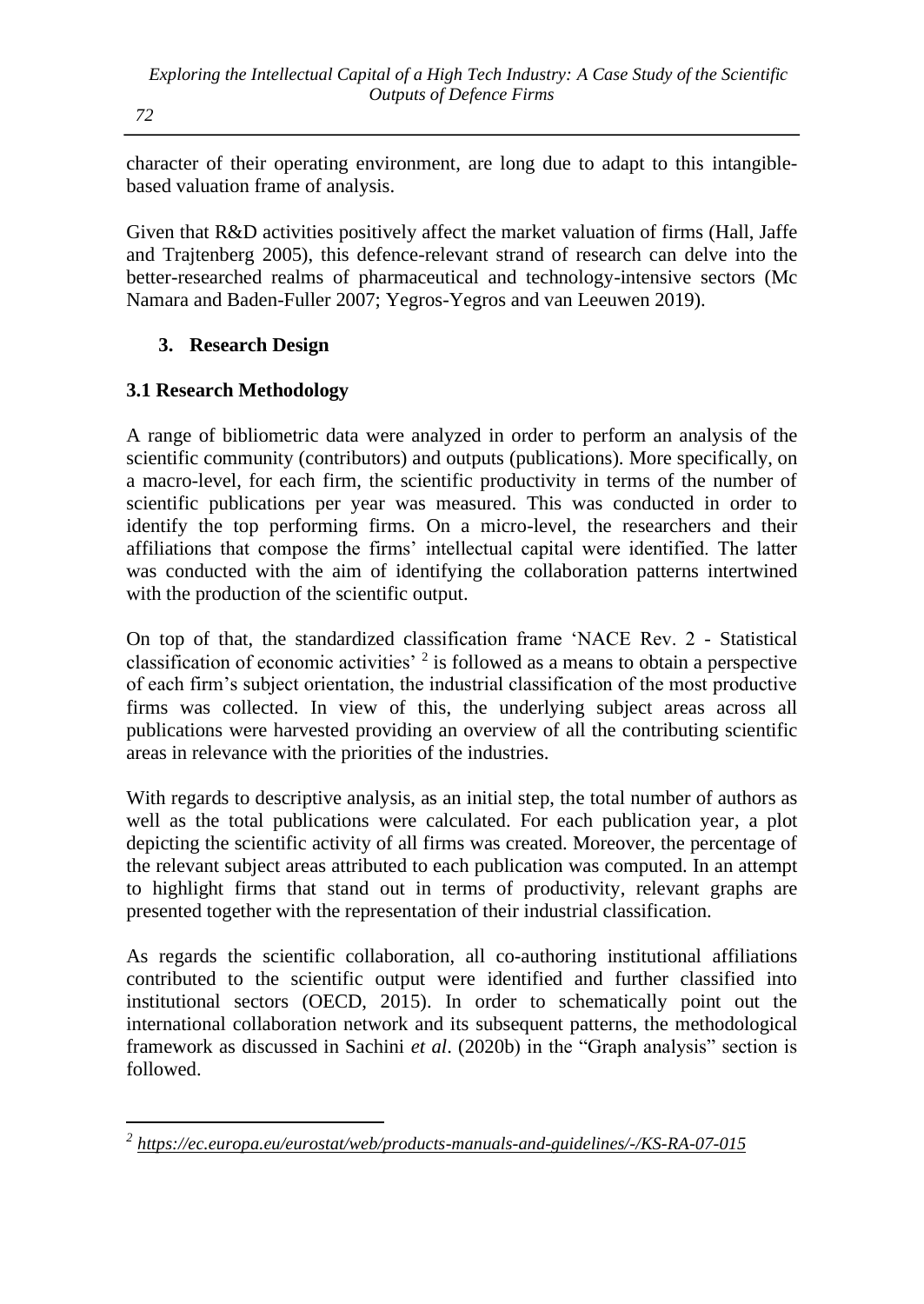character of their operating environment, are long due to adapt to this intangiblebased valuation frame of analysis.

Given that R&D activities positively affect the market valuation of firms (Hall, Jaffe and Trajtenberg 2005), this defence-relevant strand of research can delve into the better-researched realms of pharmaceutical and technology-intensive sectors (Mc Namara and Baden-Fuller 2007; Yegros-Yegros and van Leeuwen 2019).

### **3. Research Design**

# **3.1 Research Methodology**

A range of bibliometric data were analyzed in order to perform an analysis of the scientific community (contributors) and outputs (publications). More specifically, on a macro-level, for each firm, the scientific productivity in terms of the number of scientific publications per year was measured. This was conducted in order to identify the top performing firms. On a micro-level, the researchers and their affiliations that compose the firms' intellectual capital were identified. The latter was conducted with the aim of identifying the collaboration patterns intertwined with the production of the scientific output.

On top of that, the standardized classification frame 'NACE Rev. 2 - Statistical classification of economic activities'  $2$  is followed as a means to obtain a perspective of each firm's subject orientation, the industrial classification of the most productive firms was collected. In view of this, the underlying subject areas across all publications were harvested providing an overview of all the contributing scientific areas in relevance with the priorities of the industries.

With regards to descriptive analysis, as an initial step, the total number of authors as well as the total publications were calculated. For each publication year, a plot depicting the scientific activity of all firms was created. Moreover, the percentage of the relevant subject areas attributed to each publication was computed. In an attempt to highlight firms that stand out in terms of productivity, relevant graphs are presented together with the representation of their industrial classification.

As regards the scientific collaboration, all co-authoring institutional affiliations contributed to the scientific output were identified and further classified into institutional sectors (OECD, 2015). In order to schematically point out the international collaboration network and its subsequent patterns, the methodological framework as discussed in Sachini *et al*. (2020b) in the "Graph analysis" section is followed.

*<sup>2</sup> <https://ec.europa.eu/eurostat/web/products-manuals-and-guidelines/-/KS-RA-07-015>*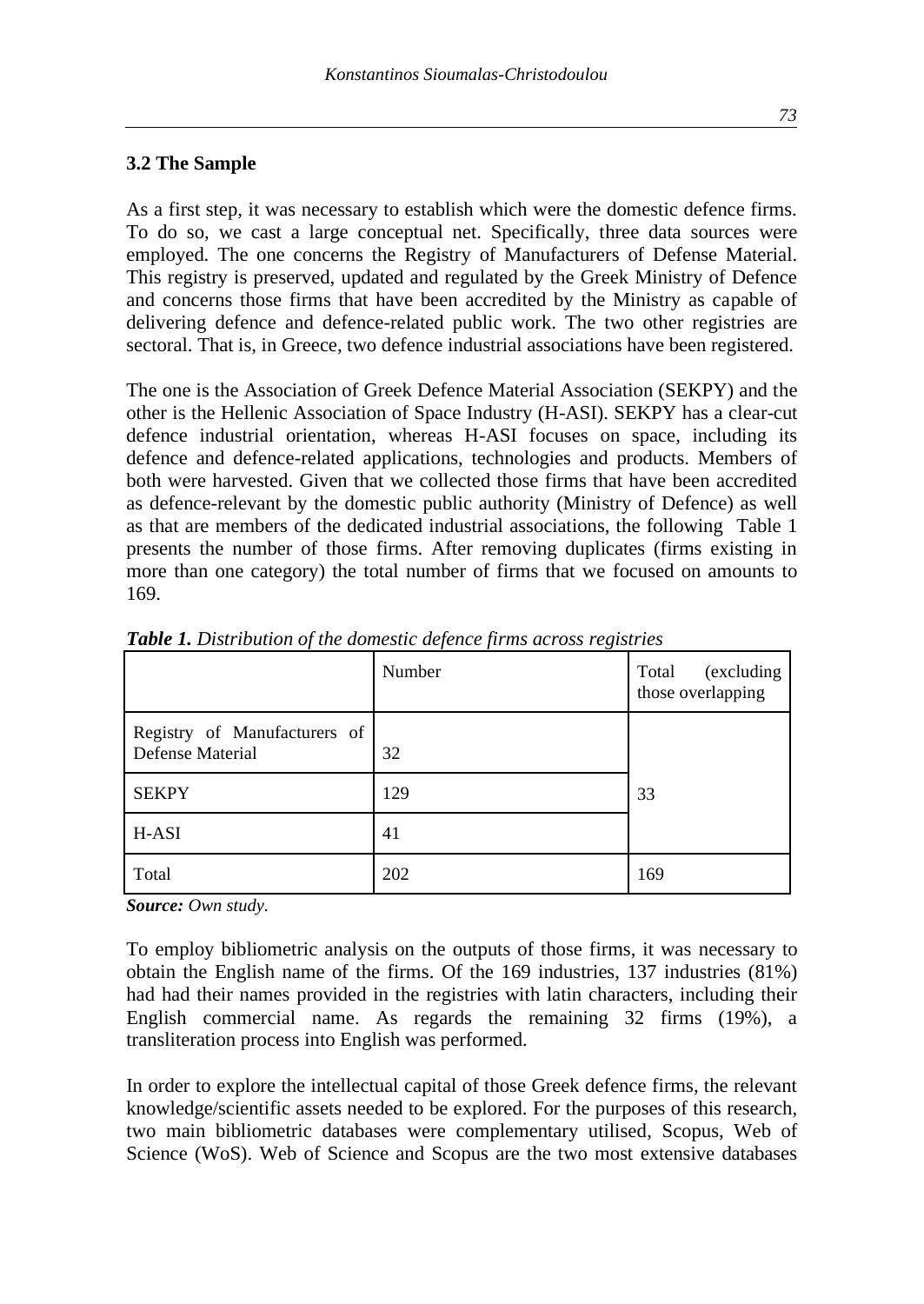#### **3.2 The Sample**

As a first step, it was necessary to establish which were the domestic defence firms. To do so, we cast a large conceptual net. Specifically, three data sources were employed. The one concerns the Registry of Manufacturers of Defense Material. This registry is preserved, updated and regulated by the Greek Ministry of Defence and concerns those firms that have been accredited by the Ministry as capable of delivering defence and defence-related public work. The two other registries are sectoral. That is, in Greece, two defence industrial associations have been registered.

The one is the Association of Greek Defence Material Association (SEKPY) and the other is the Hellenic Association of Space Industry (H-ASI). SEKPY has a clear-cut defence industrial orientation, whereas H-ASI focuses on space, including its defence and defence-related applications, technologies and products. Members of both were harvested. Given that we collected those firms that have been accredited as defence-relevant by the domestic public authority (Ministry of Defence) as well as that are members of the dedicated industrial associations, the following Table 1 presents the number of those firms. After removing duplicates (firms existing in more than one category) the total number of firms that we focused on amounts to 169.

|                                                  | Number | (excluding<br>Total<br>those overlapping |
|--------------------------------------------------|--------|------------------------------------------|
| Registry of Manufacturers of<br>Defense Material | 32     |                                          |
| <b>SEKPY</b>                                     | 129    | 33                                       |
| H-ASI                                            | 41     |                                          |
| Total                                            | 202    | 169                                      |

*Table 1. Distribution of the domestic defence firms across registries*

*Source: Own study.*

To employ bibliometric analysis on the outputs of those firms, it was necessary to obtain the English name of the firms. Of the 169 industries, 137 industries (81%) had had their names provided in the registries with latin characters, including their English commercial name. As regards the remaining 32 firms (19%), a transliteration process into English was performed.

In order to explore the intellectual capital of those Greek defence firms, the relevant knowledge/scientific assets needed to be explored. For the purposes of this research, two main bibliometric databases were complementary utilised, Scopus, Web of Science (WoS). Web of Science and Scopus are the two most extensive databases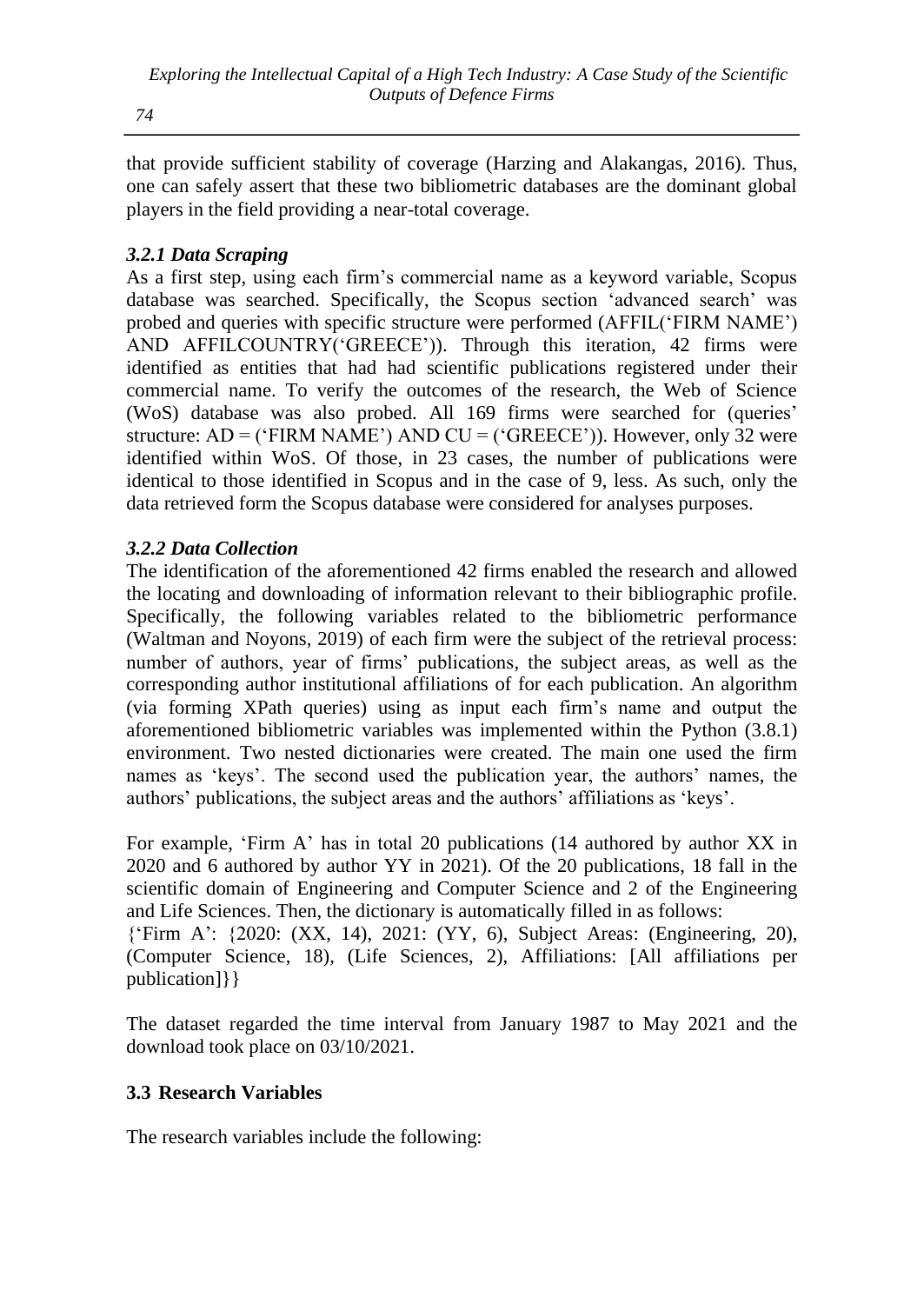*Exploring the Intellectual Capital of a High Tech Industry: A Case Study of the Scientific Outputs of Defence Firms*

*74*

that provide sufficient stability of coverage (Harzing and Alakangas, 2016). Thus, one can safely assert that these two bibliometric databases are the dominant global players in the field providing a near-total coverage.

# *3.2.1 Data Scraping*

As a first step, using each firm's commercial name as a keyword variable, Scopus database was searched. Specifically, the Scopus section 'advanced search' was probed and queries with specific structure were performed (AFFIL('FIRM NAME') AND AFFILCOUNTRY('GREECE')). Through this iteration, 42 firms were identified as entities that had had scientific publications registered under their commercial name. To verify the outcomes of the research, the Web of Science (WoS) database was also probed. All 169 firms were searched for (queries' structure:  $AD =$  ('FIRM NAME') AND CU = ('GREECE')). However, only 32 were identified within WoS. Of those, in 23 cases, the number of publications were identical to those identified in Scopus and in the case of 9, less. As such, only the data retrieved form the Scopus database were considered for analyses purposes.

### *3.2.2 Data Collection*

The identification of the aforementioned 42 firms enabled the research and allowed the locating and downloading of information relevant to their bibliographic profile. Specifically, the following variables related to the bibliometric performance (Waltman and Noyons, 2019) of each firm were the subject of the retrieval process: number of authors, year of firms' publications, the subject areas, as well as the corresponding author institutional affiliations of for each publication. An algorithm (via forming XPath queries) using as input each firm's name and output the aforementioned bibliometric variables was implemented within the Python (3.8.1) environment. Two nested dictionaries were created. The main one used the firm names as 'keys'. The second used the publication year, the authors' names, the authors' publications, the subject areas and the authors' affiliations as 'keys'.

For example, 'Firm A' has in total 20 publications (14 authored by author XX in 2020 and 6 authored by author YY in 2021). Of the 20 publications, 18 fall in the scientific domain of Engineering and Computer Science and 2 of the Engineering and Life Sciences. Then, the dictionary is automatically filled in as follows:

{'Firm A': {2020: (XX, 14), 2021: (YY, 6), Subject Areas: (Engineering, 20), (Computer Science, 18), (Life Sciences, 2), Affiliations: [All affiliations per publication]}}

The dataset regarded the time interval from January 1987 to May 2021 and the download took place on 03/10/2021.

### **3.3 Research Variables**

The research variables include the following: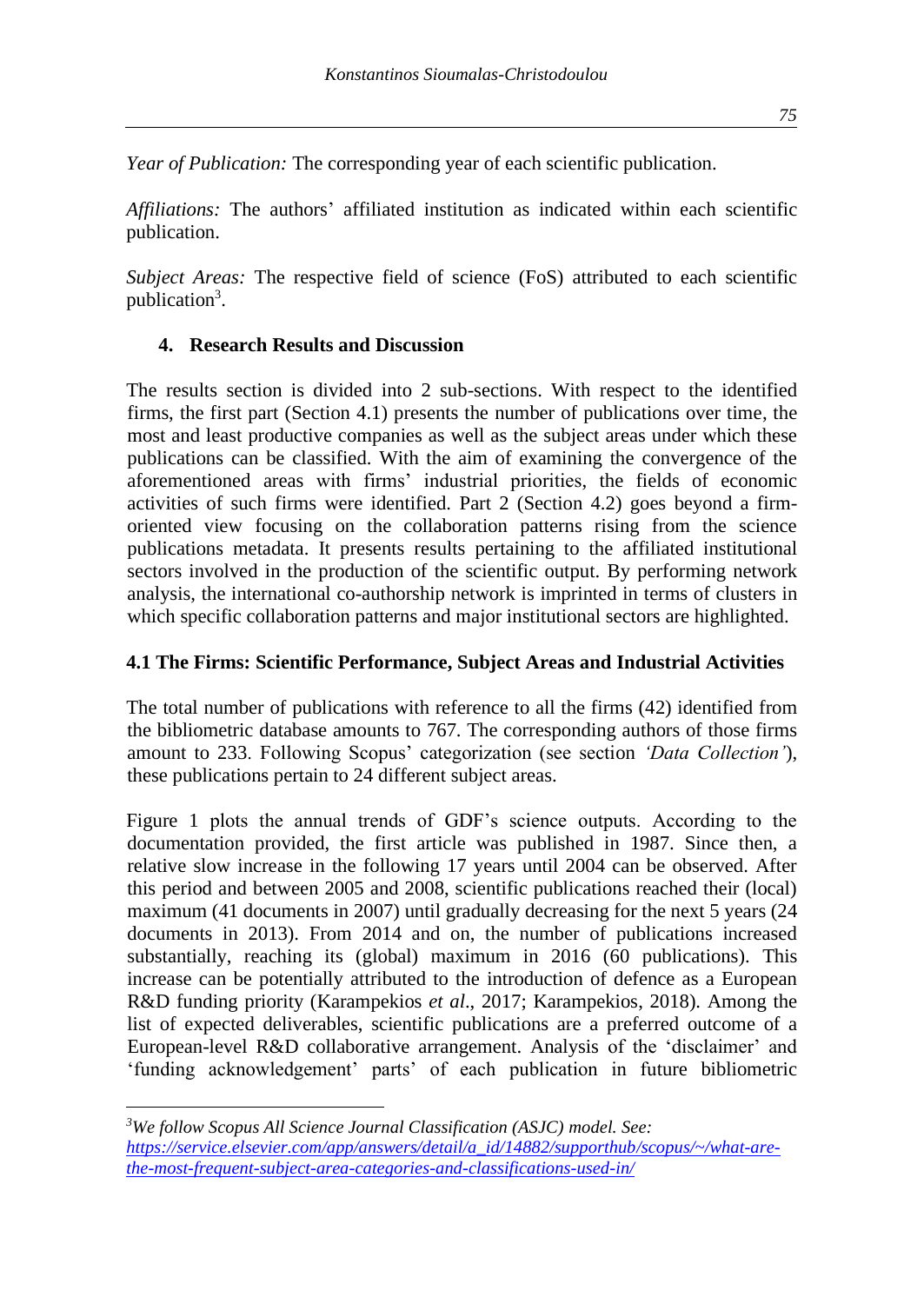*Year of Publication:* The corresponding year of each scientific publication.

*Affiliations:* The authors' affiliated institution as indicated within each scientific publication.

*Subject Areas:* The respective field of science (FoS) attributed to each scientific publication<sup>3</sup>.

#### **4. Research Results and Discussion**

The results section is divided into 2 sub-sections. With respect to the identified firms, the first part (Section 4.1) presents the number of publications over time, the most and least productive companies as well as the subject areas under which these publications can be classified. With the aim of examining the convergence of the aforementioned areas with firms' industrial priorities, the fields of economic activities of such firms were identified. Part 2 (Section 4.2) goes beyond a firmoriented view focusing on the collaboration patterns rising from the science publications metadata. It presents results pertaining to the affiliated institutional sectors involved in the production of the scientific output. By performing network analysis, the international co-authorship network is imprinted in terms of clusters in which specific collaboration patterns and major institutional sectors are highlighted.

### **4.1 The Firms: Scientific Performance, Subject Areas and Industrial Activities**

The total number of publications with reference to all the firms (42) identified from the bibliometric database amounts to 767. The corresponding authors of those firms amount to 233. Following Scopus' categorization (see section *'Data Collection'*), these publications pertain to 24 different subject areas.

Figure 1 plots the annual trends of GDF's science outputs. According to the documentation provided, the first article was published in 1987. Since then, a relative slow increase in the following 17 years until 2004 can be observed. After this period and between 2005 and 2008, scientific publications reached their (local) maximum (41 documents in 2007) until gradually decreasing for the next 5 years (24 documents in 2013). From 2014 and on, the number of publications increased substantially, reaching its (global) maximum in 2016 (60 publications). This increase can be potentially attributed to the introduction of defence as a European R&D funding priority (Karampekios *et al*., 2017; Karampekios, 2018). Among the list of expected deliverables, scientific publications are a preferred outcome of a European-level R&D collaborative arrangement. Analysis of the 'disclaimer' and 'funding acknowledgement' parts' of each publication in future bibliometric

*<sup>3</sup>We follow Scopus All Science Journal Classification (ASJC) model. See: [https://service.elsevier.com/app/answers/detail/a\\_id/14882/supporthub/scopus/~/what-are](https://service.elsevier.com/app/answers/detail/a_id/14882/supporthub/scopus/~/what-are-the-most-frequent-subject-area-categories-and-classifications-used-in/)[the-most-frequent-subject-area-categories-and-classifications-used-in/](https://service.elsevier.com/app/answers/detail/a_id/14882/supporthub/scopus/~/what-are-the-most-frequent-subject-area-categories-and-classifications-used-in/)*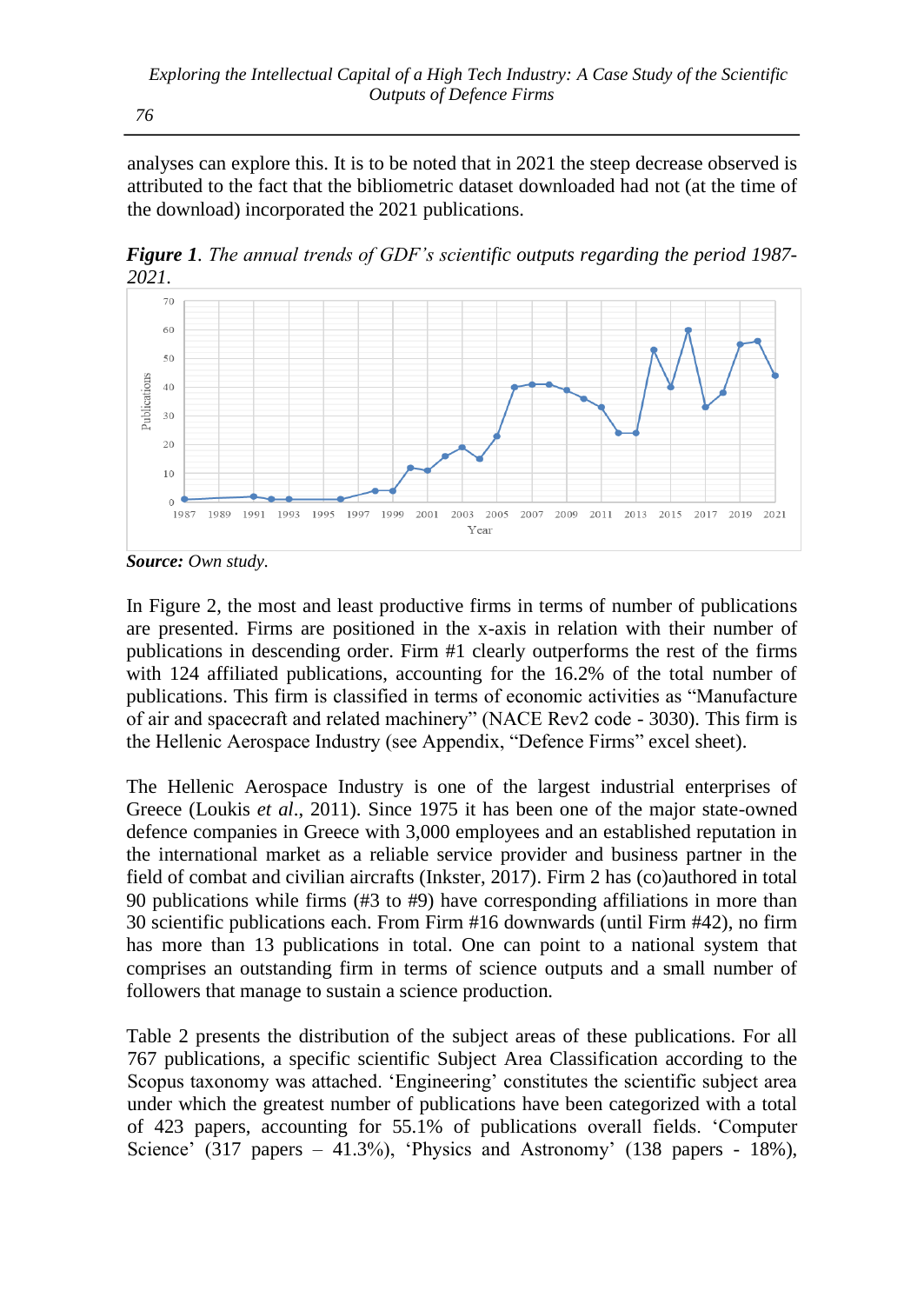analyses can explore this. It is to be noted that in 2021 the steep decrease observed is attributed to the fact that the bibliometric dataset downloaded had not (at the time of the download) incorporated the 2021 publications.

*Figure 1. The annual trends of GDF's scientific outputs regarding the period 1987- 2021.*



*Source: Own study.*

In Figure 2, the most and least productive firms in terms of number of publications are presented. Firms are positioned in the x-axis in relation with their number of publications in descending order. Firm #1 clearly outperforms the rest of the firms with 124 affiliated publications, accounting for the 16.2% of the total number of publications. This firm is classified in terms of economic activities as "Manufacture of air and spacecraft and related machinery" (NACE Rev2 code - 3030). This firm is the Hellenic Aerospace Industry (see Appendix, "Defence Firms" excel sheet).

The Hellenic Aerospace Industry is one of the largest industrial enterprises of Greece (Loukis *et al*., 2011). Since 1975 it has been one of the major state-owned defence companies in Greece with 3,000 employees and an established reputation in the international market as a reliable service provider and business partner in the field of combat and civilian aircrafts (Inkster, 2017). Firm 2 has (co)authored in total 90 publications while firms (#3 to #9) have corresponding affiliations in more than 30 scientific publications each. From Firm #16 downwards (until Firm #42), no firm has more than 13 publications in total. One can point to a national system that comprises an outstanding firm in terms of science outputs and a small number of followers that manage to sustain a science production.

Table 2 presents the distribution of the subject areas of these publications. For all 767 publications, a specific scientific Subject Area Classification according to the Scopus taxonomy was attached. 'Engineering' constitutes the scientific subject area under which the greatest number of publications have been categorized with a total of 423 papers, accounting for 55.1% of publications overall fields. 'Computer Science' (317 papers – 41.3%), 'Physics and Astronomy' (138 papers - 18%),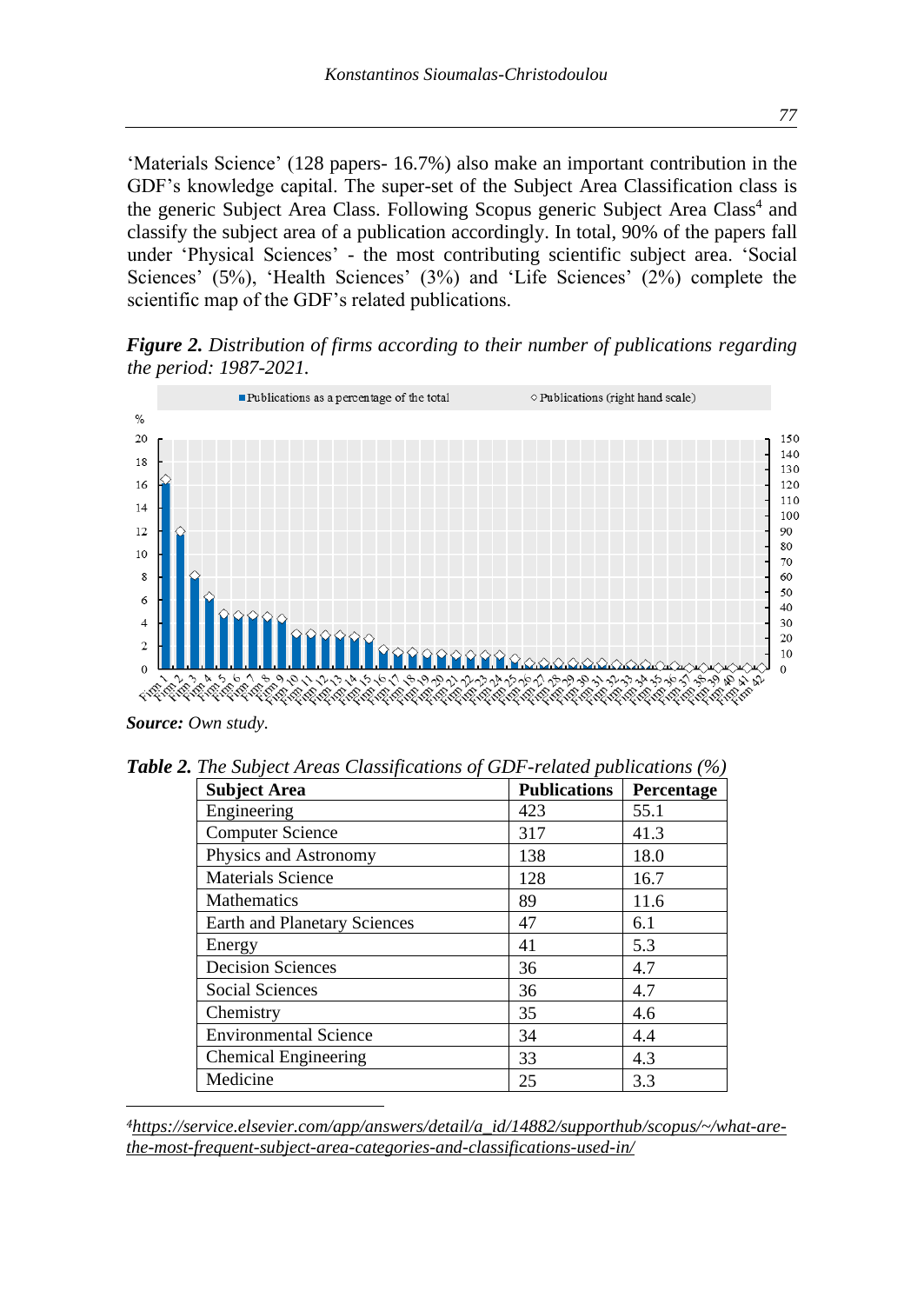'Materials Science' (128 papers- 16.7%) also make an important contribution in the GDF's knowledge capital. The super-set of the Subject Area Classification class is the generic Subject Area Class. Following Scopus generic Subject Area Class<sup>4</sup> and classify the subject area of a publication accordingly. In total, 90% of the papers fall under 'Physical Sciences' - the most contributing scientific subject area. 'Social Sciences' (5%), 'Health Sciences' (3%) and 'Life Sciences' (2%) complete the scientific map of the GDF's related publications.

*Figure 2. Distribution of firms according to their number of publications regarding the period: 1987-2021.*



*Source: Own study.*

*Table 2. The Subject Areas Classifications of GDF-related publications (%)*

| <b>Subject Area</b>                 | <b>Publications</b> | Percentage |
|-------------------------------------|---------------------|------------|
| Engineering                         | 423                 | 55.1       |
| <b>Computer Science</b>             | 317                 | 41.3       |
| Physics and Astronomy               | 138                 | 18.0       |
| <b>Materials Science</b>            | 128                 | 16.7       |
| <b>Mathematics</b>                  | 89                  | 11.6       |
| <b>Earth and Planetary Sciences</b> | 47                  | 6.1        |
| Energy                              | 41                  | 5.3        |
| <b>Decision Sciences</b>            | 36                  | 4.7        |
| <b>Social Sciences</b>              | 36                  | 4.7        |
| Chemistry                           | 35                  | 4.6        |
| <b>Environmental Science</b>        | 34                  | 4.4        |
| <b>Chemical Engineering</b>         | 33                  | 4.3        |
| Medicine                            | 25                  | 3.3        |

*4[https://service.elsevier.com/app/answers/detail/a\\_id/14882/supporthub/scopus/~/what-are](https://service.elsevier.com/app/answers/detail/a_id/14882/supporthub/scopus/~/what-are-the-most-frequent-subject-area-categories-and-classifications-used-in/)[the-most-frequent-subject-area-categories-and-classifications-used-in/](https://service.elsevier.com/app/answers/detail/a_id/14882/supporthub/scopus/~/what-are-the-most-frequent-subject-area-categories-and-classifications-used-in/)*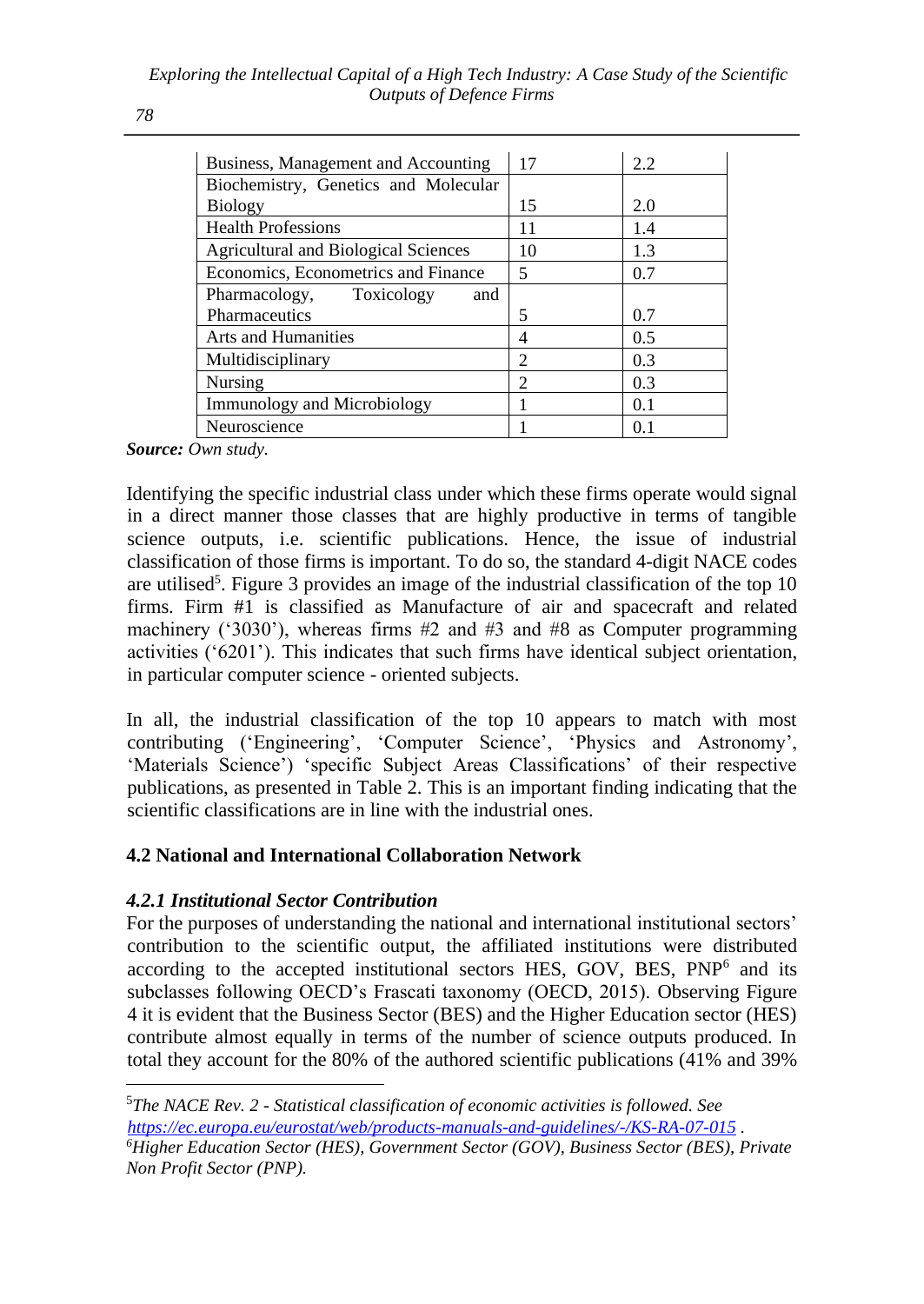| Business, Management and Accounting         | 17             | 2.2 |
|---------------------------------------------|----------------|-----|
| Biochemistry, Genetics and Molecular        |                |     |
| <b>Biology</b>                              | 15             | 2.0 |
| <b>Health Professions</b>                   | 11             | 1.4 |
| <b>Agricultural and Biological Sciences</b> | 10             | 1.3 |
| Economics, Econometrics and Finance         | 5              | 0.7 |
| Pharmacology, Toxicology<br>and             |                |     |
| Pharmaceutics                               | 5              | 0.7 |
| <b>Arts and Humanities</b>                  | 4              | 0.5 |
| Multidisciplinary                           | $\mathfrak{D}$ | 0.3 |
| Nursing                                     | $\mathcal{D}$  | 0.3 |
| <b>Immunology and Microbiology</b>          |                | 0.1 |
| Neuroscience                                |                | 0.1 |

*Source: Own study.*

Identifying the specific industrial class under which these firms operate would signal in a direct manner those classes that are highly productive in terms of tangible science outputs, i.e. scientific publications. Hence, the issue of industrial classification of those firms is important. To do so, the standard 4-digit NACE codes are utilised<sup>5</sup>. Figure 3 provides an image of the industrial classification of the top 10 firms. Firm #1 is classified as Manufacture of air and spacecraft and related machinery ('3030'), whereas firms  $#2$  and  $#3$  and  $#8$  as Computer programming activities ('6201'). This indicates that such firms have identical subject orientation, in particular computer science - oriented subjects.

In all, the industrial classification of the top 10 appears to match with most contributing ('Engineering', 'Computer Science', 'Physics and Astronomy', 'Materials Science') 'specific Subject Areas Classifications' of their respective publications, as presented in Table 2. This is an important finding indicating that the scientific classifications are in line with the industrial ones.

### **4.2 National and International Collaboration Network**

### *4.2.1 Institutional Sector Contribution*

For the purposes of understanding the national and international institutional sectors' contribution to the scientific output, the affiliated institutions were distributed according to the accepted institutional sectors HES, GOV, BES, PNP<sup>6</sup> and its subclasses following OECD's Frascati taxonomy (OECD, 2015). Observing Figure 4 it is evident that the Business Sector (BES) and the Higher Education sector (HES) contribute almost equally in terms of the number of science outputs produced. In total they account for the 80% of the authored scientific publications (41% and 39%

<sup>5</sup>*The NACE Rev. 2 - Statistical classification of economic activities is followed. See <https://ec.europa.eu/eurostat/web/products-manuals-and-guidelines/-/KS-RA-07-015> .*

*<sup>6</sup>Higher Education Sector (HES), Government Sector (GOV), Business Sector (BES), Private Non Profit Sector (PNP).*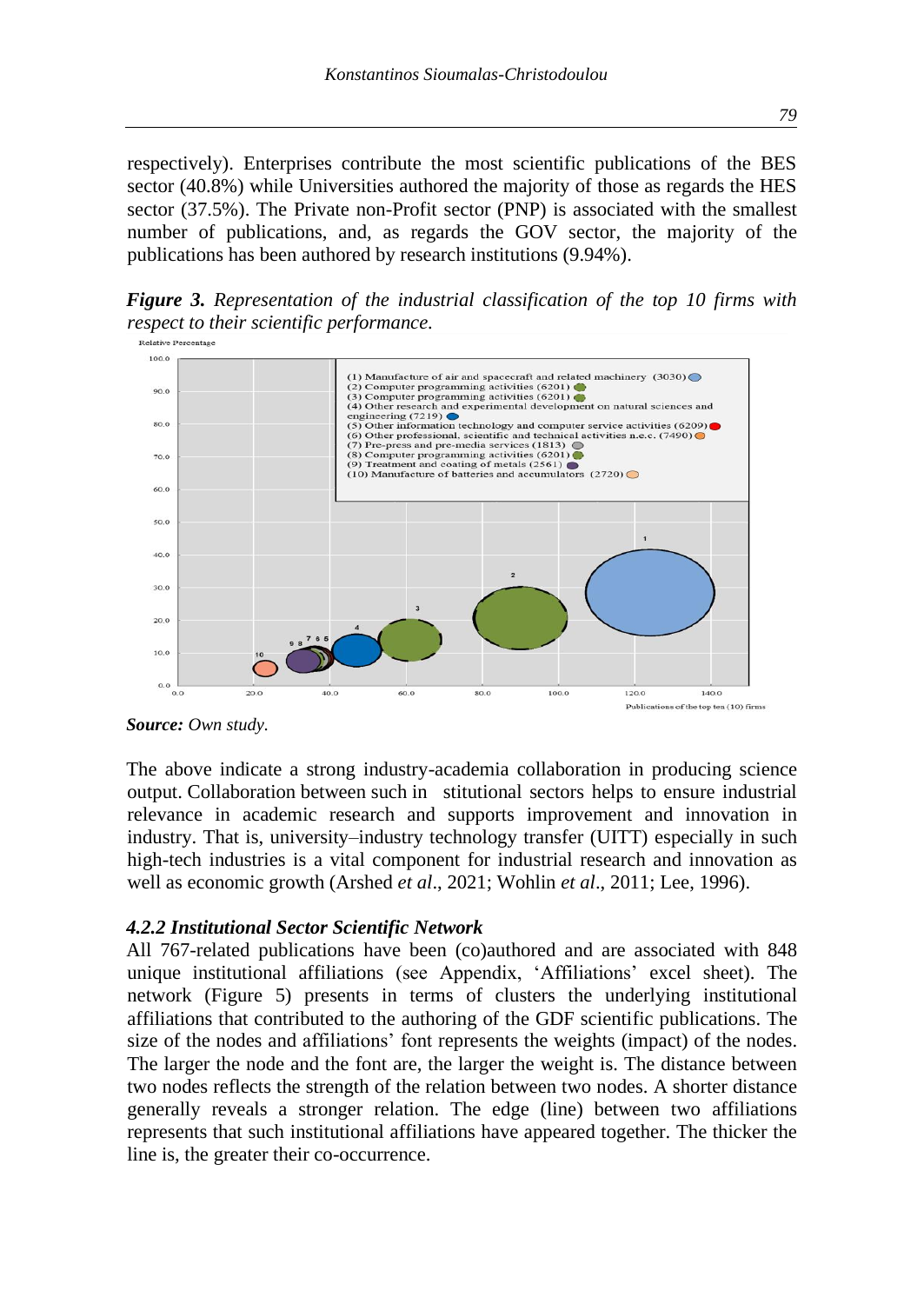respectively). Enterprises contribute the most scientific publications of the BES sector (40.8%) while Universities authored the majority of those as regards the HES sector (37.5%). The Private non-Profit sector (PNP) is associated with the smallest number of publications, and, as regards the GOV sector, the majority of the publications has been authored by research institutions (9.94%).

*Figure 3. Representation of the industrial classification of the top 10 firms with respect to their scientific performance.*



*Source: Own study.*

The above indicate a strong industry-academia collaboration in producing science output. Collaboration between such in stitutional sectors helps to ensure industrial relevance in academic research and supports improvement and innovation in industry. That is, university–industry technology transfer (UITT) especially in such high-tech industries is a vital component for industrial research and innovation as well as economic growth (Arshed *et al*., 2021; Wohlin *et al*., 2011; Lee, 1996).

#### *4.2.2 Institutional Sector Scientific Network*

All 767-related publications have been (co)authored and are associated with 848 unique institutional affiliations (see Appendix, 'Affiliations' excel sheet). The network (Figure 5) presents in terms of clusters the underlying institutional affiliations that contributed to the authoring of the GDF scientific publications. The size of the nodes and affiliations' font represents the weights (impact) of the nodes. The larger the node and the font are, the larger the weight is. The distance between two nodes reflects the strength of the relation between two nodes. A shorter distance generally reveals a stronger relation. The edge (line) between two affiliations represents that such institutional affiliations have appeared together. The thicker the line is, the greater their co-occurrence.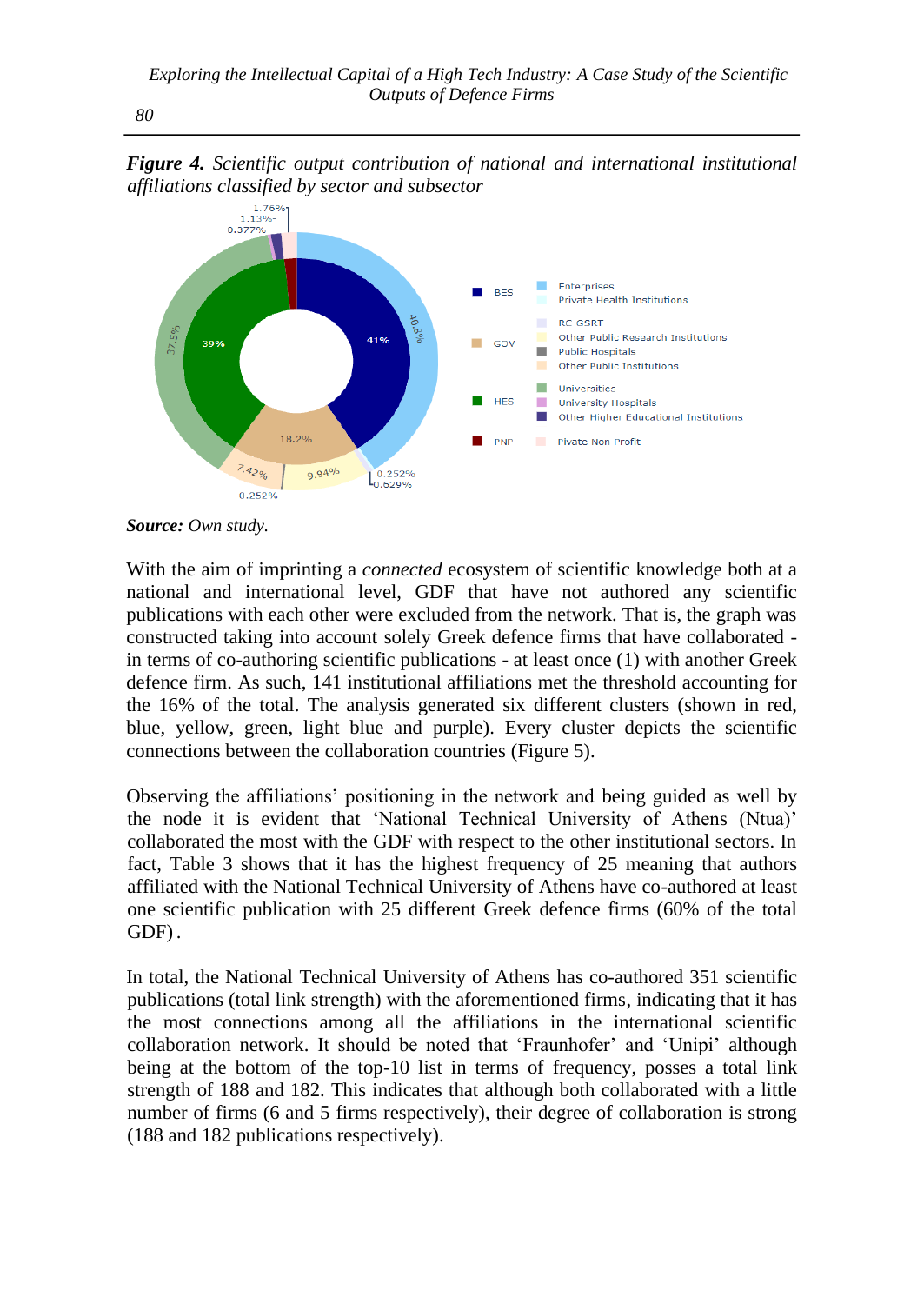1.76%  $1.13\%$  $0.27704$  $\mathbf{r}$ Enterprises **BES** Private Health Institutions m. **RC-GSRT** Other Public Research Institutions 41% 39%  $\Box$  GOV Public Hospitals Other Public Institutions **Universities HES** University Hospitals T. Other Higher Educational Institutions 18.2% **PNP** Pivate Non Profit  $7.42%$ 9.94% 0.252%  $\left.\right|_{0.629\%}^{0.252\%}$ 0.252%

*Figure 4. Scientific output contribution of national and international institutional affiliations classified by sector and subsector*

*Source: Own study.*

With the aim of imprinting a *connected* ecosystem of scientific knowledge both at a national and international level, GDF that have not authored any scientific publications with each other were excluded from the network. That is, the graph was constructed taking into account solely Greek defence firms that have collaborated in terms of co-authoring scientific publications - at least once (1) with another Greek defence firm. As such, 141 institutional affiliations met the threshold accounting for the 16% of the total. The analysis generated six different clusters (shown in red, blue, yellow, green, light blue and purple). Every cluster depicts the scientific connections between the collaboration countries (Figure 5).

Observing the affiliations' positioning in the network and being guided as well by the node it is evident that 'National Technical University of Athens (Ntua)' collaborated the most with the GDF with respect to the other institutional sectors. In fact, Table 3 shows that it has the highest frequency of 25 meaning that authors affiliated with the National Technical University of Athens have co-authored at least one scientific publication with 25 different Greek defence firms (60% of the total GDF).

In total, the National Technical University of Athens has co-authored 351 scientific publications (total link strength) with the aforementioned firms, indicating that it has the most connections among all the affiliations in the international scientific collaboration network. It should be noted that 'Fraunhofer' and 'Unipi' although being at the bottom of the top-10 list in terms of frequency, posses a total link strength of 188 and 182. This indicates that although both collaborated with a little number of firms (6 and 5 firms respectively), their degree of collaboration is strong (188 and 182 publications respectively).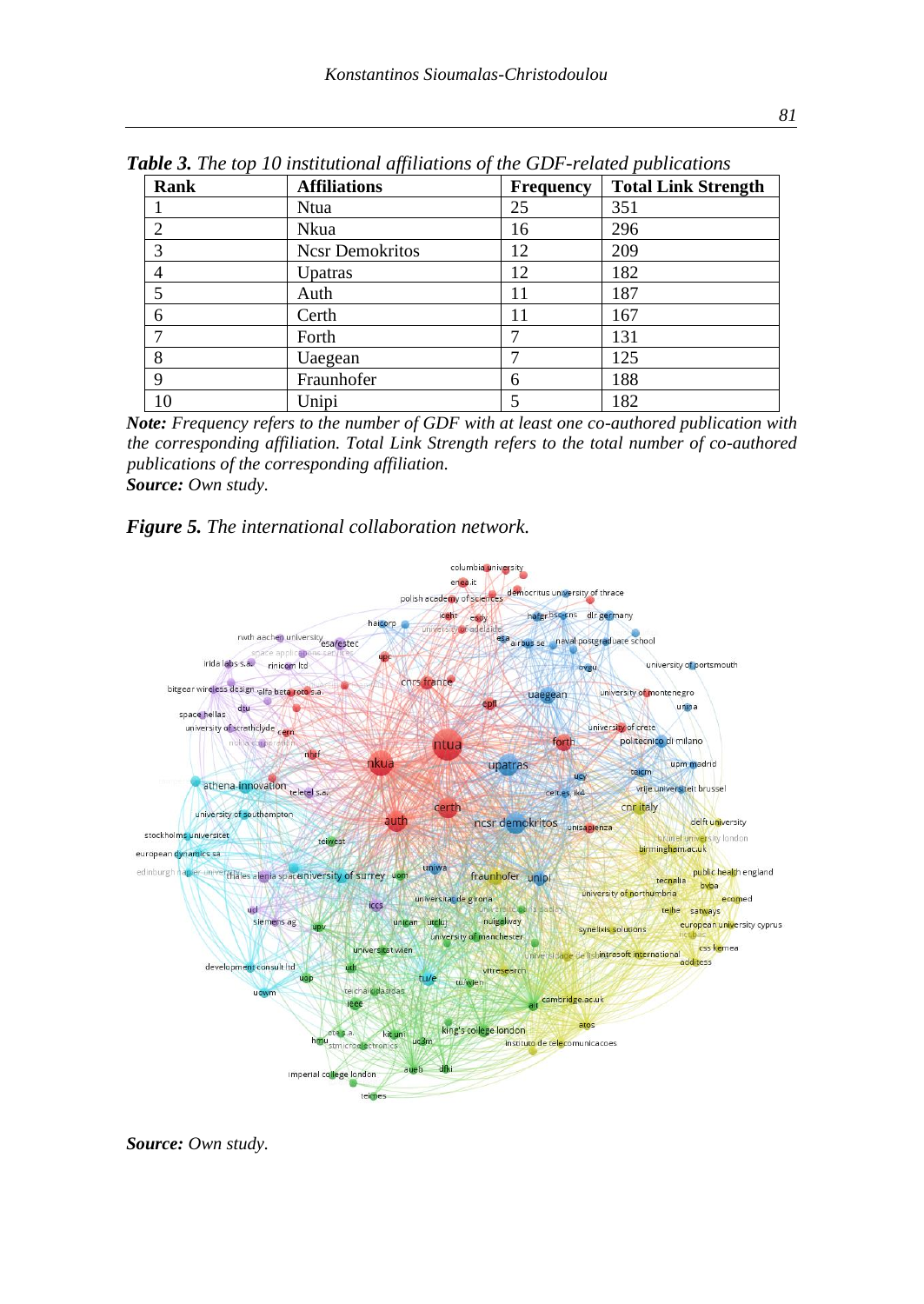| Rank | <b>Affiliations</b>    | <b>Frequency</b> | <b>Total Link Strength</b> |
|------|------------------------|------------------|----------------------------|
|      | Ntua                   | 25               | 351                        |
| 2    | Nkua                   | 16               | 296                        |
| 3    | <b>Ncsr Demokritos</b> | 12               | 209                        |
| 4    | Upatras                | 12               | 182                        |
| 5    | Auth                   | 11               | 187                        |
| 6    | Certh                  | 11               | 167                        |
|      | Forth                  |                  | 131                        |
| 8    | Uaegean                |                  | 125                        |
| 9    | Fraunhofer             | 6                | 188                        |
| 10   | Unipi                  |                  | 182                        |

*Table 3. The top 10 institutional affiliations of the GDF-related publications*

*Note: Frequency refers to the number of GDF with at least one co-authored publication with the corresponding affiliation. Total Link Strength refers to the total number of co-authored publications of the corresponding affiliation. Source: Own study.*

#### *Figure 5. The international collaboration network.*



*Source: Own study.*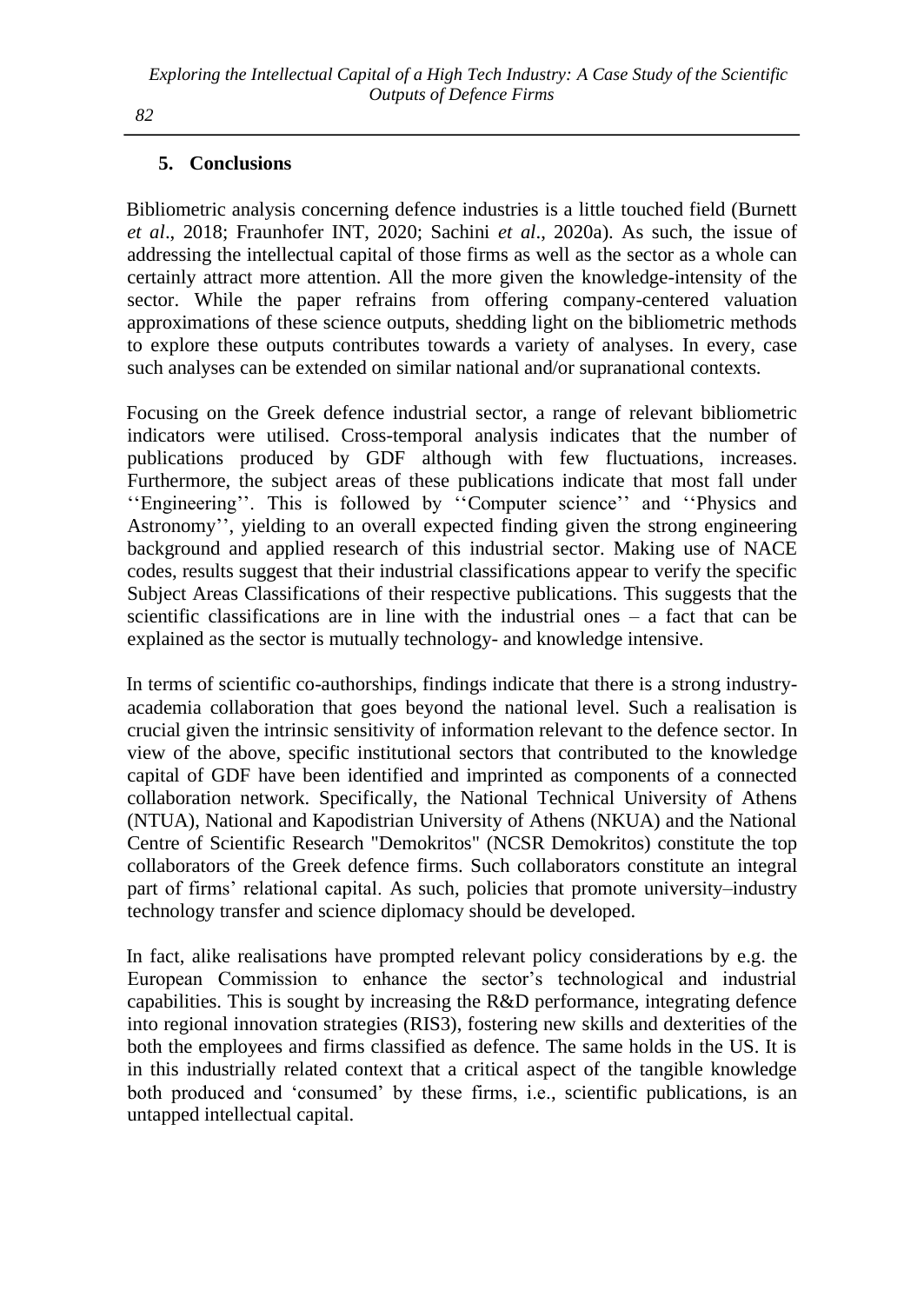# **5. Conclusions**

Bibliometric analysis concerning defence industries is a little touched field (Burnett *et al*., 2018; Fraunhofer INT, 2020; Sachini *et al*., 2020a). As such, the issue of addressing the intellectual capital of those firms as well as the sector as a whole can certainly attract more attention. All the more given the knowledge-intensity of the sector. While the paper refrains from offering company-centered valuation approximations of these science outputs, shedding light on the bibliometric methods to explore these outputs contributes towards a variety of analyses. In every, case such analyses can be extended on similar national and/or supranational contexts.

Focusing on the Greek defence industrial sector, a range of relevant bibliometric indicators were utilised. Cross-temporal analysis indicates that the number of publications produced by GDF although with few fluctuations, increases. Furthermore, the subject areas of these publications indicate that most fall under ''Engineering''. This is followed by ''Computer science'' and ''Physics and Astronomy'', yielding to an overall expected finding given the strong engineering background and applied research of this industrial sector. Making use of NACE codes, results suggest that their industrial classifications appear to verify the specific Subject Areas Classifications of their respective publications. This suggests that the scientific classifications are in line with the industrial ones – a fact that can be explained as the sector is mutually technology- and knowledge intensive.

In terms of scientific co-authorships, findings indicate that there is a strong industryacademia collaboration that goes beyond the national level. Such a realisation is crucial given the intrinsic sensitivity of information relevant to the defence sector. In view of the above, specific institutional sectors that contributed to the knowledge capital of GDF have been identified and imprinted as components of a connected collaboration network. Specifically, the National Technical University of Athens (NTUA), National and Kapodistrian University of Athens (NKUA) and the National Centre of Scientific Research "Demokritos" (NCSR Demokritos) constitute the top collaborators of the Greek defence firms. Such collaborators constitute an integral part of firms' relational capital. As such, policies that promote university–industry technology transfer and science diplomacy should be developed.

In fact, alike realisations have prompted relevant policy considerations by e.g. the European Commission to enhance the sector's technological and industrial capabilities. This is sought by increasing the R&D performance, integrating defence into regional innovation strategies (RIS3), fostering new skills and dexterities of the both the employees and firms classified as defence. The same holds in the US. It is in this industrially related context that a critical aspect of the tangible knowledge both produced and 'consumed' by these firms, i.e., scientific publications, is an untapped intellectual capital.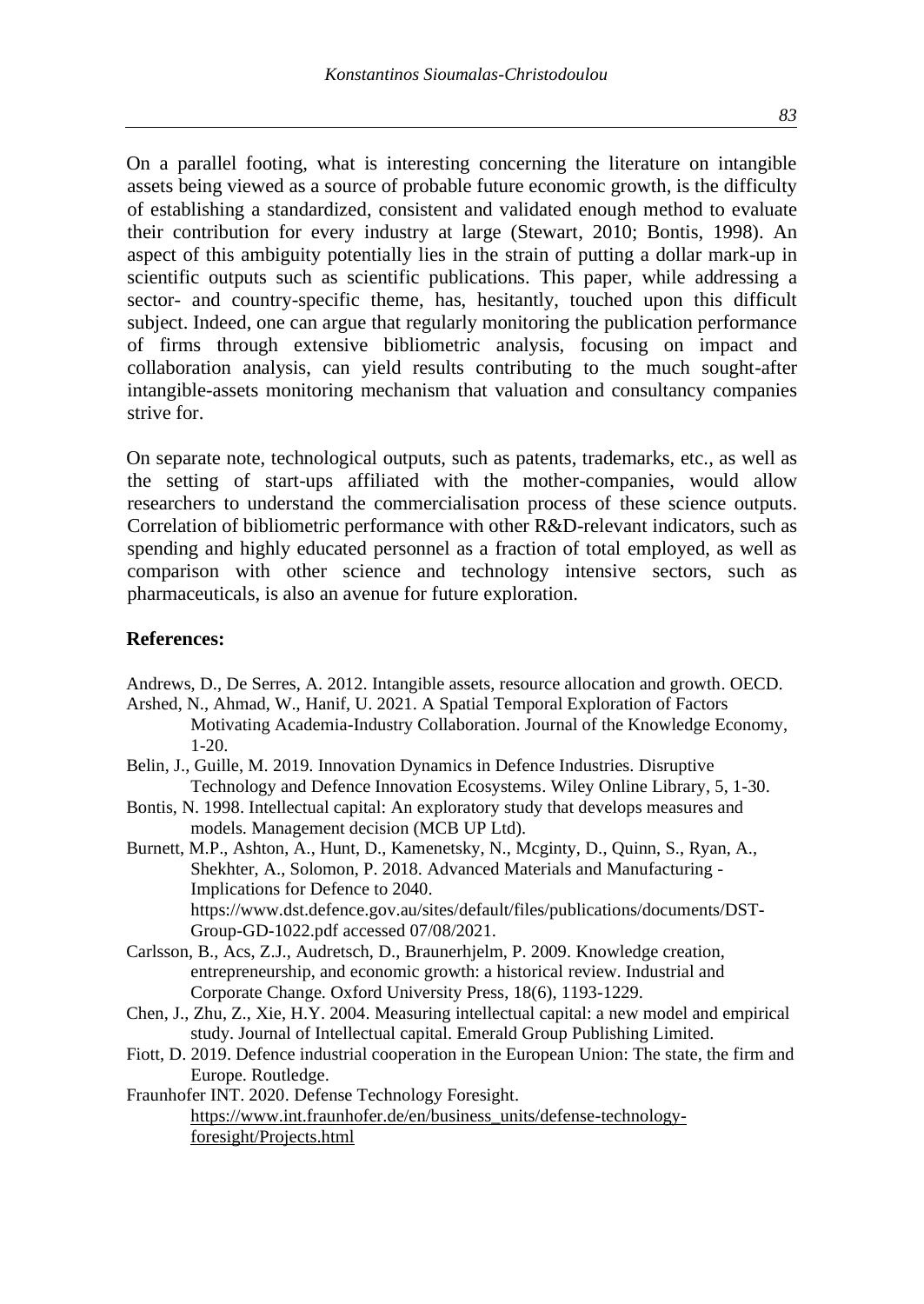On a parallel footing, what is interesting concerning the literature on intangible assets being viewed as a source of probable future economic growth, is the difficulty of establishing a standardized, consistent and validated enough method to evaluate their contribution for every industry at large (Stewart, 2010; Bontis, 1998). An aspect of this ambiguity potentially lies in the strain of putting a dollar mark-up in scientific outputs such as scientific publications. This paper, while addressing a sector- and country-specific theme, has, hesitantly, touched upon this difficult subject. Indeed, one can argue that regularly monitoring the publication performance of firms through extensive bibliometric analysis, focusing on impact and collaboration analysis, can yield results contributing to the much sought-after intangible-assets monitoring mechanism that valuation and consultancy companies strive for.

On separate note, technological outputs, such as patents, trademarks, etc., as well as the setting of start-ups affiliated with the mother-companies, would allow researchers to understand the commercialisation process of these science outputs. Correlation of bibliometric performance with other R&D-relevant indicators, such as spending and highly educated personnel as a fraction of total employed, as well as comparison with other science and technology intensive sectors, such as pharmaceuticals, is also an avenue for future exploration.

#### **References:**

Andrews, D., De Serres, A. 2012. Intangible assets, resource allocation and growth. OECD.

- Arshed, N., Ahmad, W., Hanif, U. 2021. A Spatial Temporal Exploration of Factors Motivating Academia-Industry Collaboration. Journal of the Knowledge Economy, 1-20.
- Belin, J., Guille, M. 2019. Innovation Dynamics in Defence Industries. Disruptive Technology and Defence Innovation Ecosystems. Wiley Online Library, 5, 1-30.
- Bontis, N. 1998. Intellectual capital: An exploratory study that develops measures and models. Management decision (MCB UP Ltd).
- Burnett, M.P., Ashton, A., Hunt, D., Kamenetsky, N., Mcginty, D., Quinn, S., Ryan, A., Shekhter, A., Solomon, P. 2018. Advanced Materials and Manufacturing - Implications for Defence to 2040. https://www.dst.defence.gov.au/sites/default/files/publications/documents/DST-Group-GD-1022.pdf accessed 07/08/2021.
- Carlsson, B., Acs, Z.J., Audretsch, D., Braunerhjelm, P. 2009. Knowledge creation, entrepreneurship, and economic growth: a historical review. Industrial and Corporate Change. Oxford University Press, 18(6), 1193-1229.
- Chen, J., Zhu, Z., Xie, H.Y. 2004. Measuring intellectual capital: a new model and empirical study. Journal of Intellectual capital. Emerald Group Publishing Limited.
- Fiott, D. 2019. Defence industrial cooperation in the European Union: The state, the firm and Europe. Routledge.
- Fraunhofer INT. 2020. Defense Technology Foresight. [https://www.int.fraunhofer.de/en/business\\_units/defense-technology](https://www.int.fraunhofer.de/en/business_units/defense-technology-foresight/Projects.html)[foresight/Projects.html](https://www.int.fraunhofer.de/en/business_units/defense-technology-foresight/Projects.html)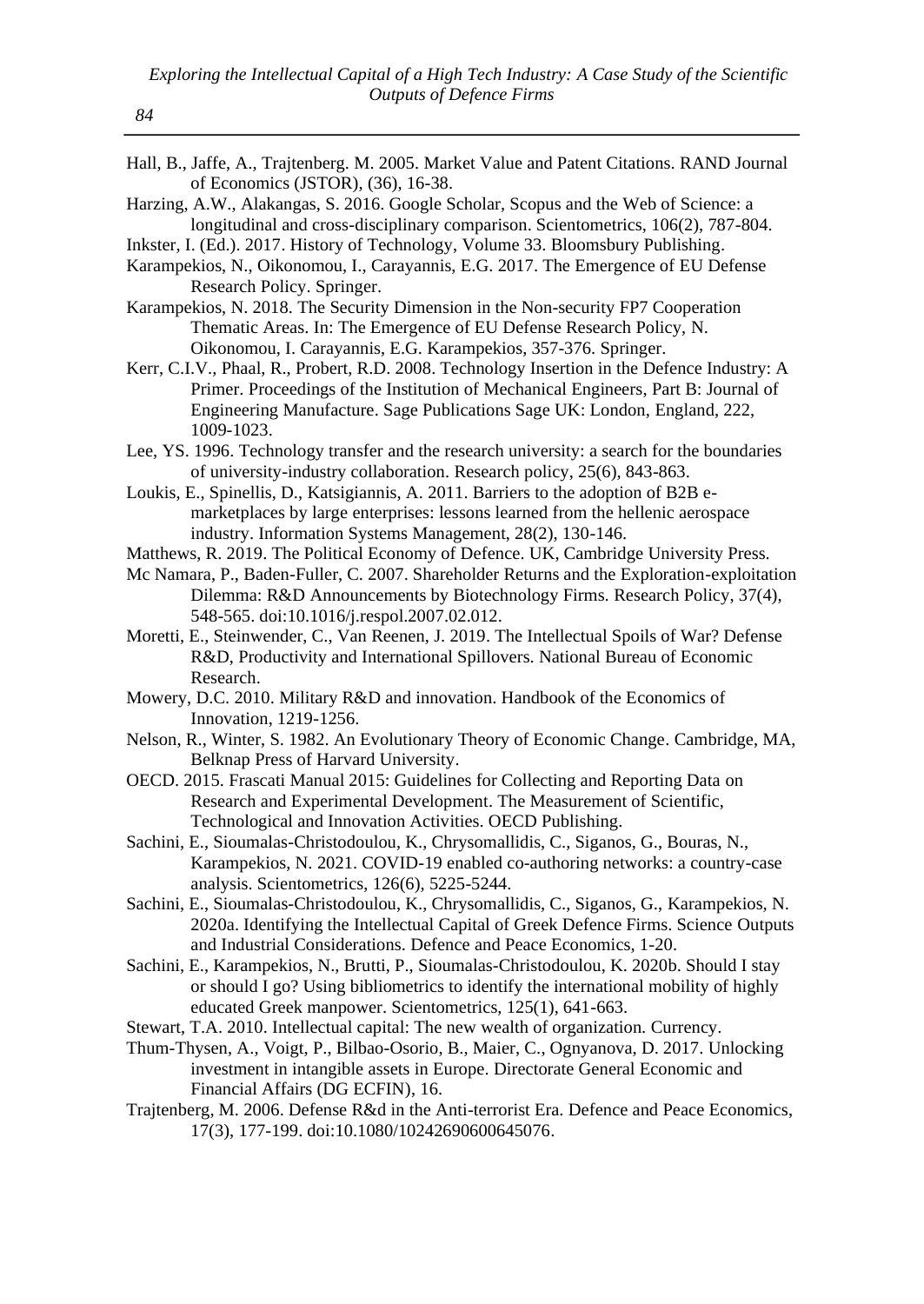Hall, B., Jaffe, A., Trajtenberg. M. 2005. Market Value and Patent Citations. RAND Journal of Economics (JSTOR), (36), 16-38.

Harzing, A.W., Alakangas, S. 2016. Google Scholar, Scopus and the Web of Science: a longitudinal and cross-disciplinary comparison. Scientometrics, 106(2), 787-804.

Inkster, I. (Ed.). 2017. History of Technology, Volume 33. Bloomsbury Publishing.

Karampekios, N., Oikonomou, I., Carayannis, E.G. 2017. The Emergence of EU Defense Research Policy. Springer.

- Karampekios, N. 2018. The Security Dimension in the Non-security FP7 Cooperation Thematic Areas. In: The Emergence of EU Defense Research Policy, N. Oikonomou, I. Carayannis, E.G. Karampekios, 357-376. Springer.
- Kerr, C.I.V., Phaal, R., Probert, R.D. 2008. Technology Insertion in the Defence Industry: A Primer. Proceedings of the Institution of Mechanical Engineers, Part B: Journal of Engineering Manufacture. Sage Publications Sage UK: London, England, 222, 1009-1023.
- Lee, YS. 1996. Technology transfer and the research university: a search for the boundaries of university-industry collaboration. Research policy, 25(6), 843-863.
- Loukis, E., Spinellis, D., Katsigiannis, A. 2011. Barriers to the adoption of B2B emarketplaces by large enterprises: lessons learned from the hellenic aerospace industry. Information Systems Management, 28(2), 130-146.
- Matthews, R. 2019. The Political Economy of Defence. UK, Cambridge University Press.
- Mc Namara, P., Baden-Fuller, C. 2007. Shareholder Returns and the Exploration-exploitation Dilemma: R&D Announcements by Biotechnology Firms. Research Policy, 37(4), 548-565. doi:10.1016/j.respol.2007.02.012.
- Moretti, E., Steinwender, C., Van Reenen, J. 2019. The Intellectual Spoils of War? Defense R&D, Productivity and International Spillovers. National Bureau of Economic Research.
- Mowery, D.C. 2010. Military R&D and innovation. Handbook of the Economics of Innovation, 1219-1256.
- Nelson, R., Winter, S. 1982. An Evolutionary Theory of Economic Change. Cambridge, MA, Belknap Press of Harvard University.
- OECD. 2015. Frascati Manual 2015: Guidelines for Collecting and Reporting Data on Research and Experimental Development. The Measurement of Scientific, Technological and Innovation Activities. OECD Publishing.
- Sachini, E., Sioumalas-Christodoulou, K., Chrysomallidis, C., Siganos, G., Bouras, N., Karampekios, N. 2021. COVID-19 enabled co-authoring networks: a country-case analysis. Scientometrics, 126(6), 5225-5244.
- Sachini, E., Sioumalas-Christodoulou, K., Chrysomallidis, C., Siganos, G., Karampekios, N. 2020a. Identifying the Intellectual Capital of Greek Defence Firms. Science Outputs and Industrial Considerations. Defence and Peace Economics, 1-20.
- Sachini, E., Karampekios, N., Brutti, P., Sioumalas-Christodoulou, K. 2020b. Should I stay or should I go? Using bibliometrics to identify the international mobility of highly educated Greek manpower. Scientometrics, 125(1), 641-663.
- Stewart, T.A. 2010. Intellectual capital: The new wealth of organization. Currency.
- Thum-Thysen, A., Voigt, P., Bilbao-Osorio, B., Maier, C., Ognyanova, D. 2017. Unlocking investment in intangible assets in Europe. Directorate General Economic and Financial Affairs (DG ECFIN), 16.
- Trajtenberg, M. 2006. Defense R&d in the Anti-terrorist Era. Defence and Peace Economics, 17(3), 177-199. doi:10.1080/10242690600645076.